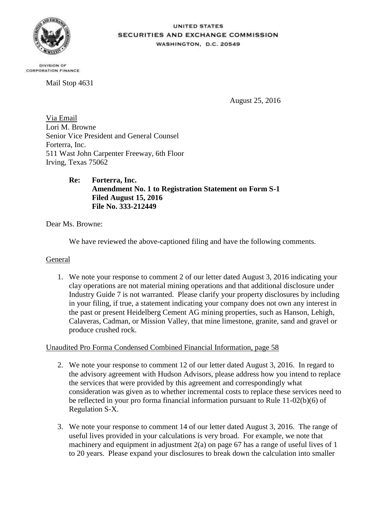

## **UNITED STATES SECURITIES AND EXCHANGE COMMISSION** WASHINGTON, D.C. 20549

DIVISION OF **CORPORATION FINANCE** 

Mail Stop 4631

August 25, 2016

Via Email Lori M. Browne Senior Vice President and General Counsel Forterra, Inc. 511 Wast John Carpenter Freeway, 6th Floor Irving, Texas 75062

## **Re: Forterra, Inc. Amendment No. 1 to Registration Statement on Form S-1 Filed August 15, 2016 File No. 333-212449**

Dear Ms. Browne:

We have reviewed the above-captioned filing and have the following comments.

## General

1. We note your response to comment 2 of our letter dated August 3, 2016 indicating your clay operations are not material mining operations and that additional disclosure under Industry Guide 7 is not warranted. Please clarify your property disclosures by including in your filing, if true, a statement indicating your company does not own any interest in the past or present Heidelberg Cement AG mining properties, such as Hanson, Lehigh, Calaveras, Cadman, or Mission Valley, that mine limestone, granite, sand and gravel or produce crushed rock.

## Unaudited Pro Forma Condensed Combined Financial Information, page 58

- 2. We note your response to comment 12 of our letter dated August 3, 2016. In regard to the advisory agreement with Hudson Advisors, please address how you intend to replace the services that were provided by this agreement and correspondingly what consideration was given as to whether incremental costs to replace these services need to be reflected in your pro forma financial information pursuant to Rule 11-02(b)(6) of Regulation S-X.
- 3. We note your response to comment 14 of our letter dated August 3, 2016. The range of useful lives provided in your calculations is very broad. For example, we note that machinery and equipment in adjustment  $2(a)$  on page 67 has a range of useful lives of 1 to 20 years. Please expand your disclosures to break down the calculation into smaller